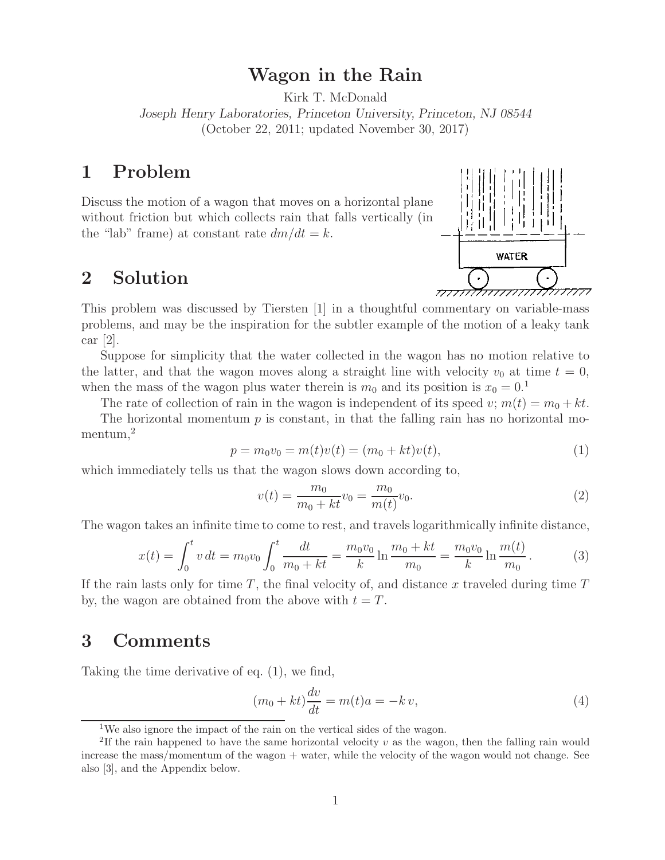# **Wagon in the Rain**

Kirk T. McDonald

*Joseph Henry Laboratories, Princeton University, Princeton, NJ 08544* (October 22, 2011; updated November 30, 2017)

## **1 Problem**

Discuss the motion of a wagon that moves on a horizontal plane without friction but which collects rain that falls vertically (in the "lab" frame) at constant rate  $dm/dt = k$ .

### **2 Solution**



This problem was discussed by Tiersten [1] in a thoughtful commentary on variable-mass problems, and may be the inspiration for the subtler example of the motion of a leaky tank car [2].

Suppose for simplicity that the water collected in the wagon has no motion relative to the latter, and that the wagon moves along a straight line with velocity  $v_0$  at time  $t = 0$ , when the mass of the wagon plus water therein is  $m_0$  and its position is  $x_0 = 0.1$ 

The rate of collection of rain in the wagon is independent of its speed  $v; m(t) = m_0 + kt$ .

The horizontal momentum  $p$  is constant, in that the falling rain has no horizontal momentum,<sup>2</sup>

$$
p = m_0 v_0 = m(t)v(t) = (m_0 + kt)v(t),
$$
\n(1)

which immediately tells us that the wagon slows down according to,

$$
v(t) = \frac{m_0}{m_0 + kt} v_0 = \frac{m_0}{m(t)} v_0.
$$
\n(2)

The wagon takes an infinite time to come to rest, and travels logarithmically infinite distance,

$$
x(t) = \int_0^t v \, dt = m_0 v_0 \int_0^t \frac{dt}{m_0 + kt} = \frac{m_0 v_0}{k} \ln \frac{m_0 + kt}{m_0} = \frac{m_0 v_0}{k} \ln \frac{m(t)}{m_0}.
$$
 (3)

If the rain lasts only for time *T* , the final velocity of, and distance *x* traveled during time *T* by, the wagon are obtained from the above with  $t = T$ .

#### **3 Comments**

Taking the time derivative of eq. (1), we find,

$$
(m_0 + kt)\frac{dv}{dt} = m(t)a = -kv,
$$
\n(4)

<sup>&</sup>lt;sup>1</sup>We also ignore the impact of the rain on the vertical sides of the wagon.

<sup>2</sup>If the rain happened to have the same horizontal velocity *v* as the wagon, then the falling rain would increase the mass/momentum of the wagon + water, while the velocity of the wagon would not change. See also [3], and the Appendix below.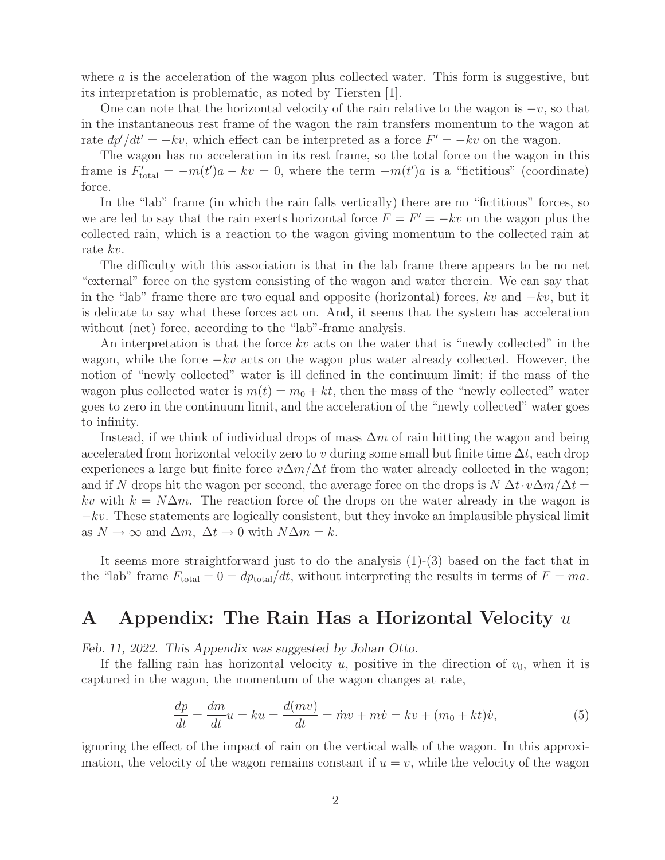where *a* is the acceleration of the wagon plus collected water. This form is suggestive, but its interpretation is problematic, as noted by Tiersten [1].

One can note that the horizontal velocity of the rain relative to the wagon is  $-v$ , so that in the instantaneous rest frame of the wagon the rain transfers momentum to the wagon at rate  $dp'/dt' = -kv$ , which effect can be interpreted as a force  $F' = -kv$  on the wagon.

The wagon has no acceleration in its rest frame, so the total force on the wagon in this frame is  $F'_{total} = -m(t')a - kv = 0$ , where the term  $-m(t')a$  is a "fictitious" (coordinate) force.

In the "lab" frame (in which the rain falls vertically) there are no "fictitious" forces, so we are led to say that the rain exerts horizontal force  $\ddot{F} = F' = -kv$  on the wagon plus the collected rain, which is a reaction to the wagon giving momentum to the collected rain at rate *kv*.

The difficulty with this association is that in the lab frame there appears to be no net "external" force on the system consisting of the wagon and water therein. We can say that in the "lab" frame there are two equal and opposite (horizontal) forces, *kv* and <sup>−</sup>*kv*, but it is delicate to say what these forces act on. And, it seems that the system has acceleration without (net) force, according to the "lab"-frame analysis.

An interpretation is that the force *kv* acts on the water that is "newly collected" in the wagon, while the force  $-kv$  acts on the wagon plus water already collected. However, the notion of "newly collected" water is ill defined in the continuum limit; if the mass of the wagon plus collected water is  $m(t) = m_0 + kt$ , then the mass of the "newly collected" water goes to zero in the continuum limit, and the acceleration of the "newly collected" water goes to infinity.

Instead, if we think of individual drops of mass Δ*m* of rain hitting the wagon and being accelerated from horizontal velocity zero to *v* during some small but finite time  $\Delta t$ , each drop experiences a large but finite force  $v\Delta m/\Delta t$  from the water already collected in the wagon; and if *N* drops hit the wagon per second, the average force on the drops is  $N \Delta t \cdot v \Delta m / \Delta t =$ *kv* with  $k = N\Delta m$ . The reaction force of the drops on the water already in the wagon is <sup>−</sup>*kv*. These statements are logically consistent, but they invoke an implausible physical limit as  $N \to \infty$  and  $\Delta m$ ,  $\Delta t \to 0$  with  $N\Delta m = k$ .

It seems more straightforward just to do the analysis (1)-(3) based on the fact that in the "lab" frame  $F_{\text{total}} = 0 = dp_{\text{total}}/dt$ , without interpreting the results in terms of  $F = ma$ .

## **A Appendix: The Rain Has a Horizontal Velocity** *u*

*Feb. 11, 2022. This Appendix was suggested by Johan Otto.*

If the falling rain has horizontal velocity  $u$ , positive in the direction of  $v_0$ , when it is captured in the wagon, the momentum of the wagon changes at rate,

$$
\frac{dp}{dt} = \frac{dm}{dt}u = ku = \frac{d(mv)}{dt} = \dot{m}v + m\dot{v} = kv + (m_0 + kt)\dot{v},\tag{5}
$$

ignoring the effect of the impact of rain on the vertical walls of the wagon. In this approximation, the velocity of the wagon remains constant if  $u = v$ , while the velocity of the wagon